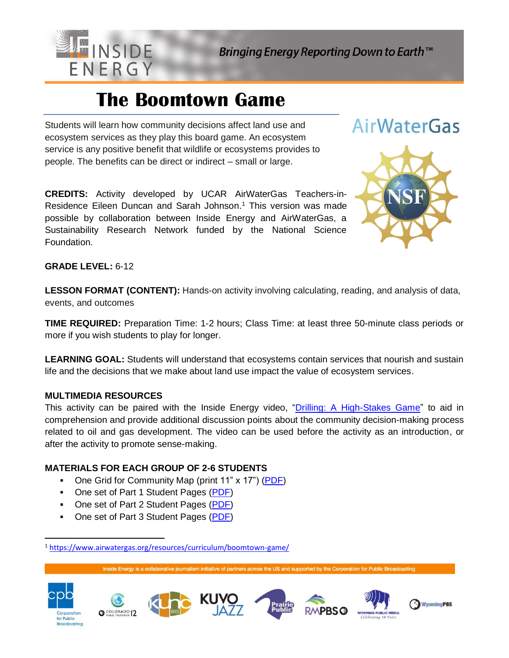

# **The Boomtown Game**

Students will learn how community decisions affect land use and ecosystem services as they play this board game. An ecosystem service is any positive benefit that wildlife or ecosystems provides to people. The benefits can be direct or indirect – small or large.

**CREDITS:** Activity developed by UCAR AirWaterGas Teachers-in-Residence Eileen Duncan and Sarah Johnson. <sup>1</sup> This version was made possible by collaboration between Inside Energy and AirWaterGas, a Sustainability Research Network funded by the National Science Foundation.



AirWaterGas

## **GRADE LEVEL:** 6-12

**LESSON FORMAT (CONTENT):** Hands-on activity involving calculating, reading, and analysis of data, events, and outcomes

**TIME REQUIRED:** Preparation Time: 1-2 hours; Class Time: at least three 50-minute class periods or more if you wish students to play for longer.

**LEARNING GOAL:** Students will understand that ecosystems contain services that nourish and sustain life and the decisions that we make about land use impact the value of ecosystem services.

#### **MULTIMEDIA RESOURCES**

This activity can be paired with the Inside Energy video, ["Drilling: A High-Stakes Game"](http://insideenergy.org/2017/12/22/three-animations-to-help-you-understand-fracking/) to aid in comprehension and provide additional discussion points about the community decision-making process related to oil and gas development. The video can be used before the activity as an introduction, or after the activity to promote sense-making.

# **MATERIALS FOR EACH GROUP OF 2-6 STUDENTS**

- One Grid for Community Map (print 11" x 17") [\(PDF\)](http://insideenergy.org/wp-content/uploads/2018/01/Graph-Paper-for-Community-Map.pdf)
- One set of Part 1 Student Pages [\(PDF\)](http://insideenergy.org/wp-content/uploads/2018/01/Part-1-Boomtown-Student-Pages.pdf)
- One set of Part 2 Student Pages [\(PDF\)](http://insideenergy.org/wp-content/uploads/2018/01/Part-2-Boomtown-Student-Pages.pdf)
- One set of Part 3 Student Pages [\(PDF\)](http://insideenergy.org/wp-content/uploads/2018/01/Part-3-Boomtown-Student-Pages.pdf)

<sup>1</sup> <https://www.airwatergas.org/resources/curriculum/boomtown-game/>

Inside Energy is a collaborative journalism initiative of partners across the US and supported by the Corporation for Public Broadcasting



 $\overline{\phantom{0}}$ 









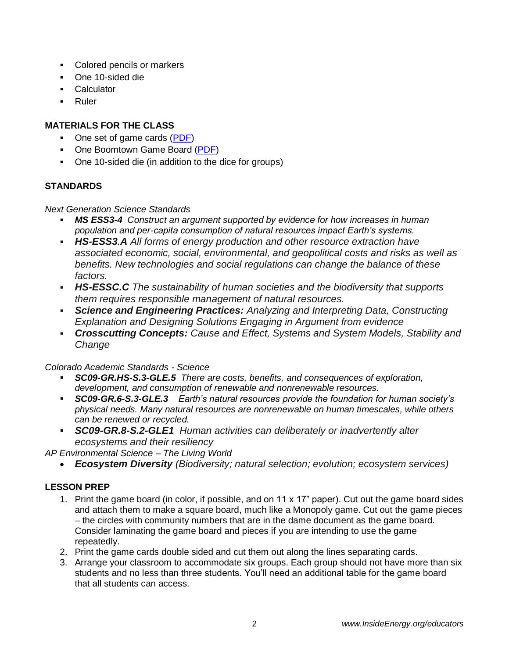- Colored pencils or markers
- One 10-sided die
- Calculator
- **Ruler**

# **MATERIALS FOR THE CLASS**

- One set of game cards [\(PDF\)](http://insideenergy.org/wp-content/uploads/2018/01/boomtown-cards.pdf)
- One Boomtown Game Board [\(PDF\)](http://insideenergy.org/wp-content/uploads/2018/01/Boomtown-Game-Board.pdf)
- One 10-sided die (in addition to the dice for groups)

# **STANDARDS**

*Next Generation Science Standards*

- *MS ESS3-4 Construct an argument supported by evidence for how increases in human population and per-capita consumption of natural resources impact Earth's systems.*
- *HS-ESS3.A All forms of energy production and other resource extraction have associated economic, social, environmental, and geopolitical costs and risks as well as benefits. New technologies and social regulations can change the balance of these factors.*
- *HS-ESSC.C The sustainability of human societies and the biodiversity that supports them requires responsible management of natural resources.*
- *Science and Engineering Practices: Analyzing and Interpreting Data, Constructing Explanation and Designing Solutions Engaging in Argument from evidence*
- *Crosscutting Concepts: Cause and Effect, Systems and System Models, Stability and Change*

*Colorado Academic Standards - Science*

- *SC09-GR.HS-S.3-GLE.5 There are costs, benefits, and consequences of exploration, development, and consumption of renewable and nonrenewable resources.*
- *SC09-GR.6-S.3-GLE.3 Earth's natural resources provide the foundation for human society's physical needs. Many natural resources are nonrenewable on human timescales, while others can be renewed or recycled.*
- *SC09-GR.8-S.2-GLE1 Human activities can deliberately or inadvertently alter ecosystems and their resiliency*

*AP Environmental Science – The Living World*

• *Ecosystem Diversity (Biodiversity; natural selection; evolution; ecosystem services)*

# **LESSON PREP**

- 1. Print the game board (in color, if possible, and on 11 x 17" paper). Cut out the game board sides and attach them to make a square board, much like a Monopoly game. Cut out the game pieces – the circles with community numbers that are in the dame document as the game board. Consider laminating the game board and pieces if you are intending to use the game repeatedly.
- 2. Print the game cards double sided and cut them out along the lines separating cards.
- 3. Arrange your classroom to accommodate six groups. Each group should not have more than six students and no less than three students. You'll need an additional table for the game board that all students can access.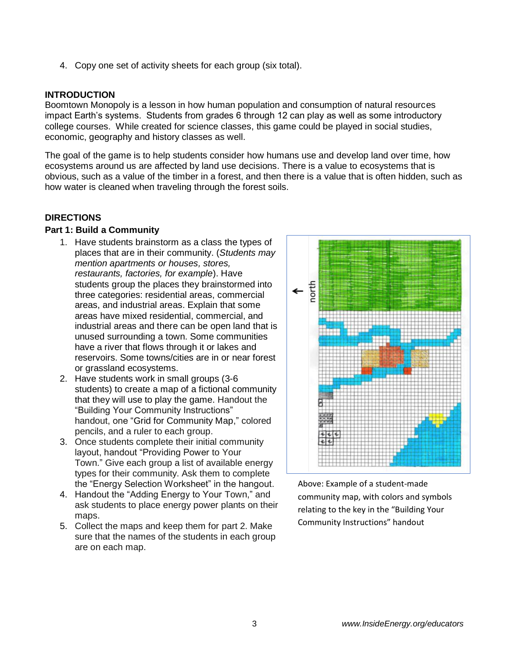4. Copy one set of activity sheets for each group (six total).

#### **INTRODUCTION**

Boomtown Monopoly is a lesson in how human population and consumption of natural resources impact Earth's systems. Students from grades 6 through 12 can play as well as some introductory college courses. While created for science classes, this game could be played in social studies, economic, geography and history classes as well.

The goal of the game is to help students consider how humans use and develop land over time, how ecosystems around us are affected by land use decisions. There is a value to ecosystems that is obvious, such as a value of the timber in a forest, and then there is a value that is often hidden, such as how water is cleaned when traveling through the forest soils.

#### **DIRECTIONS**

#### **Part 1: Build a Community**

- 1. Have students brainstorm as a class the types of places that are in their community. (*Students may mention apartments or houses, stores, restaurants, factories, for example*). Have students group the places they brainstormed into three categories: residential areas, commercial areas, and industrial areas. Explain that some areas have mixed residential, commercial, and industrial areas and there can be open land that is unused surrounding a town. Some communities have a river that flows through it or lakes and reservoirs. Some towns/cities are in or near forest or grassland ecosystems.
- 2. Have students work in small groups (3-6 students) to create a map of a fictional community that they will use to play the game. Handout the "Building Your Community Instructions" handout, one "Grid for Community Map," colored pencils, and a ruler to each group.
- 3. Once students complete their initial community layout, handout "Providing Power to Your Town." Give each group a list of available energy types for their community. Ask them to complete the "Energy Selection Worksheet" in the hangout.
- 4. Handout the "Adding Energy to Your Town," and ask students to place energy power plants on their maps.
- 5. Collect the maps and keep them for part 2. Make sure that the names of the students in each group are on each map.



Above: Example of a student-made community map, with colors and symbols relating to the key in the "Building Your Community Instructions" handout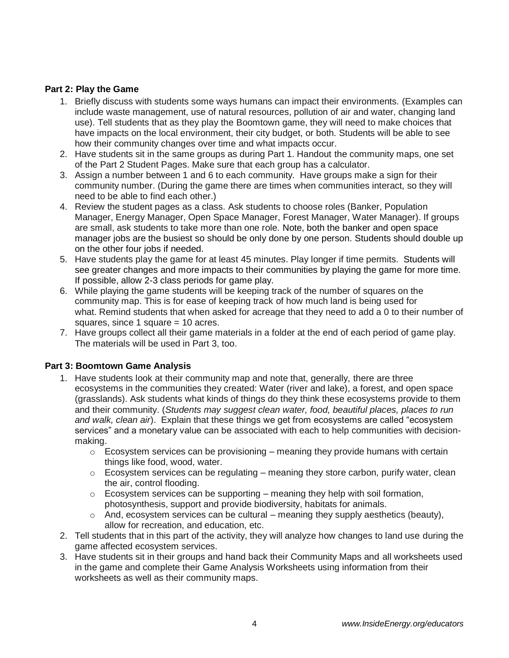### **Part 2: Play the Game**

- 1. Briefly discuss with students some ways humans can impact their environments. (Examples can include waste management, use of natural resources, pollution of air and water, changing land use). Tell students that as they play the Boomtown game, they will need to make choices that have impacts on the local environment, their city budget, or both. Students will be able to see how their community changes over time and what impacts occur.
- 2. Have students sit in the same groups as during Part 1. Handout the community maps, one set of the Part 2 Student Pages. Make sure that each group has a calculator.
- 3. Assign a number between 1 and 6 to each community. Have groups make a sign for their community number. (During the game there are times when communities interact, so they will need to be able to find each other.)
- 4. Review the student pages as a class. Ask students to choose roles (Banker, Population Manager, Energy Manager, Open Space Manager, Forest Manager, Water Manager). If groups are small, ask students to take more than one role. Note, both the banker and open space manager jobs are the busiest so should be only done by one person. Students should double up on the other four jobs if needed.
- 5. Have students play the game for at least 45 minutes. Play longer if time permits. Students will see greater changes and more impacts to their communities by playing the game for more time. If possible, allow 2-3 class periods for game play.
- 6. While playing the game students will be keeping track of the number of squares on the community map. This is for ease of keeping track of how much land is being used for what. Remind students that when asked for acreage that they need to add a 0 to their number of squares, since 1 square = 10 acres.
- 7. Have groups collect all their game materials in a folder at the end of each period of game play. The materials will be used in Part 3, too.

#### **Part 3: Boomtown Game Analysis**

- 1. Have students look at their community map and note that, generally, there are three ecosystems in the communities they created: Water (river and lake), a forest, and open space (grasslands). Ask students what kinds of things do they think these ecosystems provide to them and their community. (*Students may suggest clean water, food, beautiful places, places to run and walk, clean air*). Explain that these things we get from ecosystems are called "ecosystem services" and a monetary value can be associated with each to help communities with decisionmaking.
	- $\circ$  Ecosystem services can be provisioning meaning they provide humans with certain things like food, wood, water.
	- $\circ$  Ecosystem services can be regulating meaning they store carbon, purify water, clean the air, control flooding.
	- $\circ$  Ecosystem services can be supporting meaning they help with soil formation, photosynthesis, support and provide biodiversity, habitats for animals.
	- $\circ$  And, ecosystem services can be cultural meaning they supply aesthetics (beauty), allow for recreation, and education, etc.
- 2. Tell students that in this part of the activity, they will analyze how changes to land use during the game affected ecosystem services.
- 3. Have students sit in their groups and hand back their Community Maps and all worksheets used in the game and complete their Game Analysis Worksheets using information from their worksheets as well as their community maps.